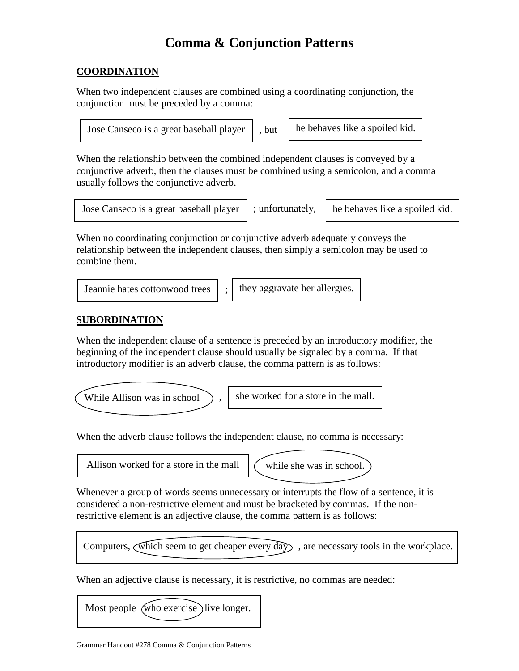# **Comma & Conjunction Patterns**

#### **COORDINATION**

When two independent clauses are combined using a coordinating conjunction, the conjunction must be preceded by a comma:

Jose Canseco is a great baseball player  $\parallel$ , but  $\parallel$  he behaves like a spoiled kid.

When the relationship between the combined independent clauses is conveyed by a conjunctive adverb, then the clauses must be combined using a semicolon, and a comma usually follows the conjunctive adverb.

| Jose Canseco is a great baseball player   ; |  |
|---------------------------------------------|--|

unfortunately,  $\parallel$  he behaves like a spoiled kid.

When no coordinating conjunction or conjunctive adverb adequately conveys the relationship between the independent clauses, then simply a semicolon may be used to combine them.

Jeannie hates cottonwood trees  $\vert \cdot \vert$  they aggravate her allergies.

#### **SUBORDINATION**

When the independent clause of a sentence is preceded by an introductory modifier, the beginning of the independent clause should usually be signaled by a comma. If that introductory modifier is an adverb clause, the comma pattern is as follows:

While Allison was in school  $\bigcup$ , she worked for a store in the mall.

When the adverb clause follows the independent clause, no comma is necessary:

Allison worked for a store in the mall  $\int$  while she was in school.

Whenever a group of words seems unnecessary or interrupts the flow of a sentence, it is considered a non-restrictive element and must be bracketed by commas. If the nonrestrictive element is an adjective clause, the comma pattern is as follows:

```
Computers, which seem to get cheaper every day , are necessary tools in the workplace.
```
When an adjective clause is necessary, it is restrictive, no commas are needed: